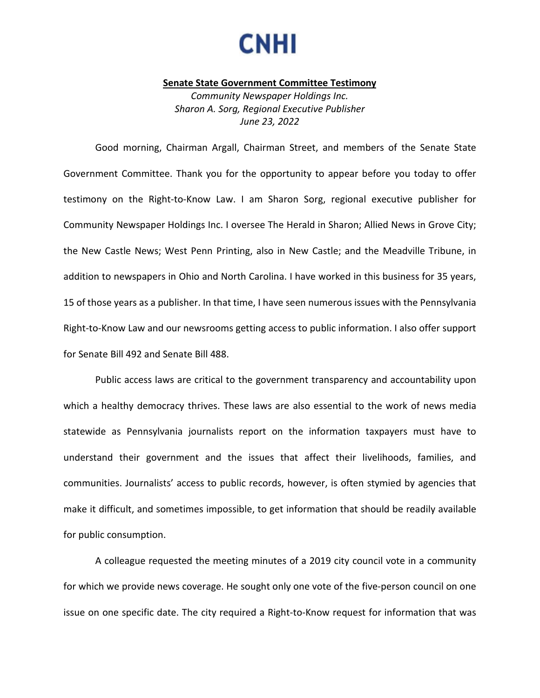

## **Senate State Government Committee Testimony**

*Community Newspaper Holdings Inc. Sharon A. Sorg, Regional Executive Publisher June 23, 2022*

Good morning, Chairman Argall, Chairman Street, and members of the Senate State Government Committee. Thank you for the opportunity to appear before you today to offer testimony on the Right-to-Know Law. I am Sharon Sorg, regional executive publisher for Community Newspaper Holdings Inc. I oversee The Herald in Sharon; Allied News in Grove City; the New Castle News; West Penn Printing, also in New Castle; and the Meadville Tribune, in addition to newspapers in Ohio and North Carolina. I have worked in this business for 35 years, 15 of those years as a publisher. In that time, I have seen numerous issues with the Pennsylvania Right-to-Know Law and our newsrooms getting access to public information. I also offer support for Senate Bill 492 and Senate Bill 488.

Public access laws are critical to the government transparency and accountability upon which a healthy democracy thrives. These laws are also essential to the work of news media statewide as Pennsylvania journalists report on the information taxpayers must have to understand their government and the issues that affect their livelihoods, families, and communities. Journalists' access to public records, however, is often stymied by agencies that make it difficult, and sometimes impossible, to get information that should be readily available for public consumption.

A colleague requested the meeting minutes of a 2019 city council vote in a community for which we provide news coverage. He sought only one vote of the five-person council on one issue on one specific date. The city required a Right-to-Know request for information that was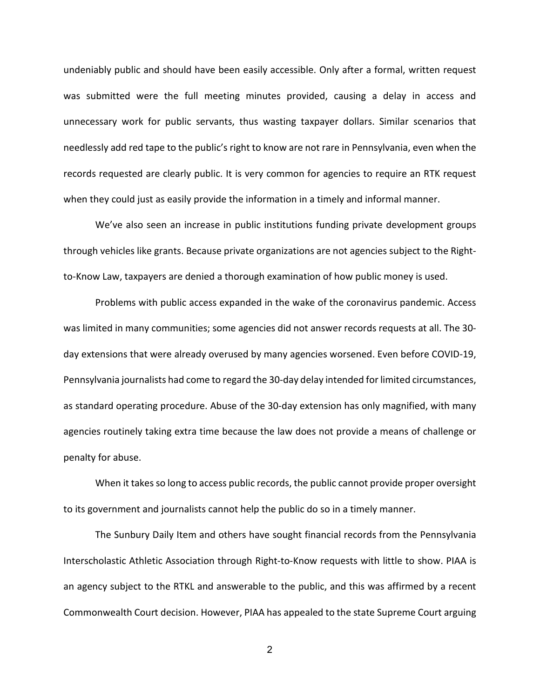undeniably public and should have been easily accessible. Only after a formal, written request was submitted were the full meeting minutes provided, causing a delay in access and unnecessary work for public servants, thus wasting taxpayer dollars. Similar scenarios that needlessly add red tape to the public's right to know are not rare in Pennsylvania, even when the records requested are clearly public. It is very common for agencies to require an RTK request when they could just as easily provide the information in a timely and informal manner.

We've also seen an increase in public institutions funding private development groups through vehicles like grants. Because private organizations are not agencies subject to the Rightto-Know Law, taxpayers are denied a thorough examination of how public money is used.

Problems with public access expanded in the wake of the coronavirus pandemic. Access was limited in many communities; some agencies did not answer records requests at all. The 30 day extensions that were already overused by many agencies worsened. Even before COVID-19, Pennsylvania journalists had come to regard the 30-day delay intended for limited circumstances, as standard operating procedure. Abuse of the 30-day extension has only magnified, with many agencies routinely taking extra time because the law does not provide a means of challenge or penalty for abuse.

When it takes so long to access public records, the public cannot provide proper oversight to its government and journalists cannot help the public do so in a timely manner.

The Sunbury Daily Item and others have sought financial records from the Pennsylvania Interscholastic Athletic Association through Right-to-Know requests with little to show. PIAA is an agency subject to the RTKL and answerable to the public, and this was affirmed by a recent Commonwealth Court decision. However, PIAA has appealed to the state Supreme Court arguing

2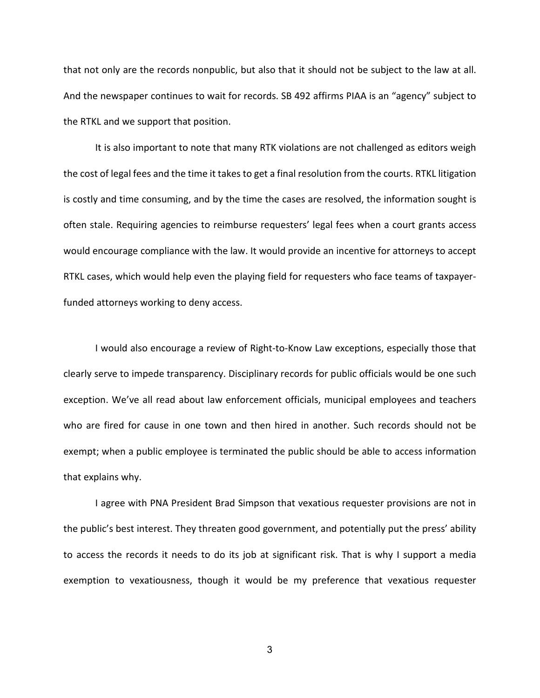that not only are the records nonpublic, but also that it should not be subject to the law at all. And the newspaper continues to wait for records. SB 492 affirms PIAA is an "agency" subject to the RTKL and we support that position.

It is also important to note that many RTK violations are not challenged as editors weigh the cost of legal fees and the time it takes to get a final resolution from the courts. RTKL litigation is costly and time consuming, and by the time the cases are resolved, the information sought is often stale. Requiring agencies to reimburse requesters' legal fees when a court grants access would encourage compliance with the law. It would provide an incentive for attorneys to accept RTKL cases, which would help even the playing field for requesters who face teams of taxpayerfunded attorneys working to deny access.

I would also encourage a review of Right-to-Know Law exceptions, especially those that clearly serve to impede transparency. Disciplinary records for public officials would be one such exception. We've all read about law enforcement officials, municipal employees and teachers who are fired for cause in one town and then hired in another. Such records should not be exempt; when a public employee is terminated the public should be able to access information that explains why.

I agree with PNA President Brad Simpson that vexatious requester provisions are not in the public's best interest. They threaten good government, and potentially put the press' ability to access the records it needs to do its job at significant risk. That is why I support a media exemption to vexatiousness, though it would be my preference that vexatious requester

3